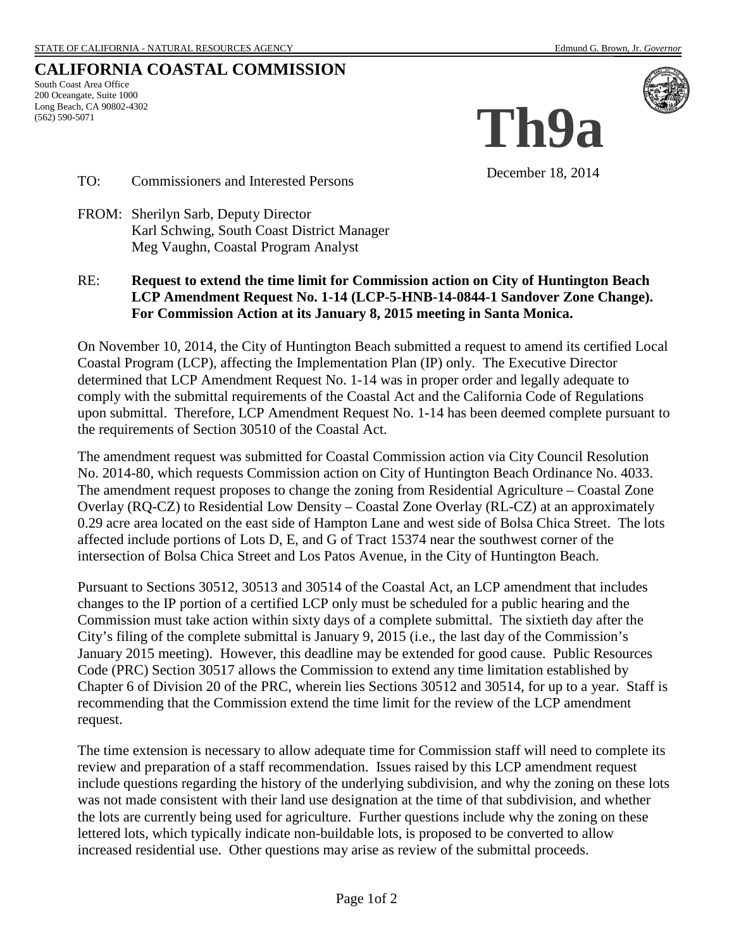## **CALIFORNIA COASTAL COMMISSION**

South Coast Area Office 200 Oceangate, Suite 1000 Long Beach, CA 90802-4302 (562) 590-5071



December 18, 2014

**Th9a**

TO: Commissioners and Interested Persons

FROM: Sherilyn Sarb, Deputy Director Karl Schwing, South Coast District Manager Meg Vaughn, Coastal Program Analyst

### RE: **Request to extend the time limit for Commission action on City of Huntington Beach LCP Amendment Request No. 1-14 (LCP-5-HNB-14-0844-1 Sandover Zone Change). For Commission Action at its January 8, 2015 meeting in Santa Monica.**

On November 10, 2014, the City of Huntington Beach submitted a request to amend its certified Local Coastal Program (LCP), affecting the Implementation Plan (IP) only. The Executive Director determined that LCP Amendment Request No. 1-14 was in proper order and legally adequate to comply with the submittal requirements of the Coastal Act and the California Code of Regulations upon submittal. Therefore, LCP Amendment Request No. 1-14 has been deemed complete pursuant to the requirements of Section 30510 of the Coastal Act.

The amendment request was submitted for Coastal Commission action via City Council Resolution No. 2014-80, which requests Commission action on City of Huntington Beach Ordinance No. 4033. The amendment request proposes to change the zoning from Residential Agriculture – Coastal Zone Overlay (RQ-CZ) to Residential Low Density – Coastal Zone Overlay (RL-CZ) at an approximately 0.29 acre area located on the east side of Hampton Lane and west side of Bolsa Chica Street. The lots affected include portions of Lots D, E, and G of Tract 15374 near the southwest corner of the intersection of Bolsa Chica Street and Los Patos Avenue, in the City of Huntington Beach.

Pursuant to Sections 30512, 30513 and 30514 of the Coastal Act, an LCP amendment that includes changes to the IP portion of a certified LCP only must be scheduled for a public hearing and the Commission must take action within sixty days of a complete submittal. The sixtieth day after the City's filing of the complete submittal is January 9, 2015 (i.e., the last day of the Commission's January 2015 meeting). However, this deadline may be extended for good cause. Public Resources Code (PRC) Section 30517 allows the Commission to extend any time limitation established by Chapter 6 of Division 20 of the PRC, wherein lies Sections 30512 and 30514, for up to a year. Staff is recommending that the Commission extend the time limit for the review of the LCP amendment request.

The time extension is necessary to allow adequate time for Commission staff will need to complete its review and preparation of a staff recommendation. Issues raised by this LCP amendment request include questions regarding the history of the underlying subdivision, and why the zoning on these lots was not made consistent with their land use designation at the time of that subdivision, and whether the lots are currently being used for agriculture. Further questions include why the zoning on these lettered lots, which typically indicate non-buildable lots, is proposed to be converted to allow increased residential use. Other questions may arise as review of the submittal proceeds.